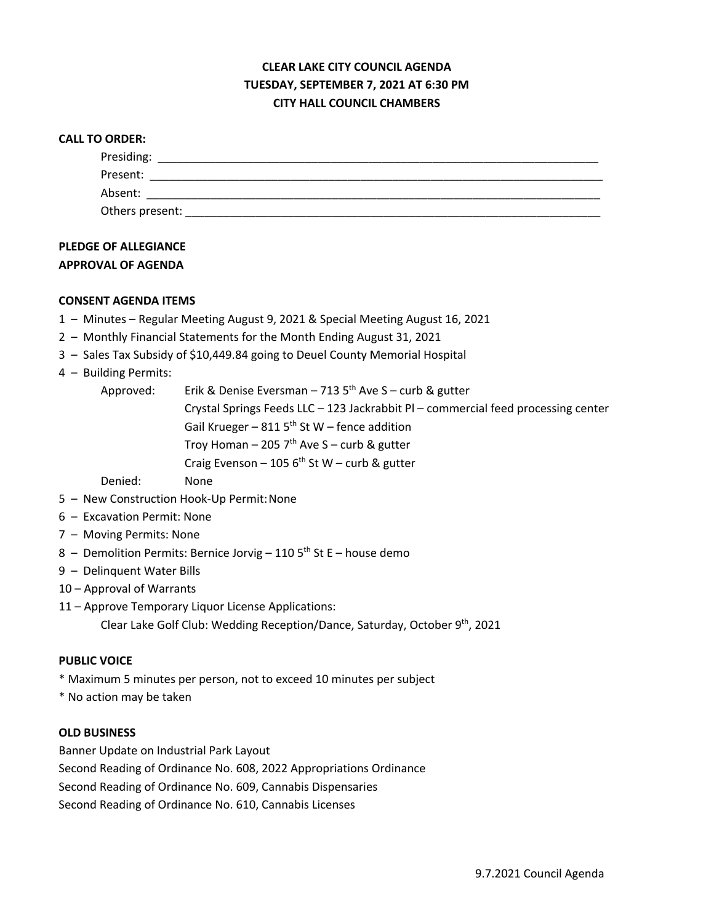# **CLEAR LAKE CITY COUNCIL AGENDA TUESDAY, SEPTEMBER 7, 2021 AT 6:30 PM CITY HALL COUNCIL CHAMBERS**

| <b>CALL TO ORDER:</b> |  |
|-----------------------|--|
| Presiding:            |  |
| Present:              |  |
| Absent:               |  |
| Others present:       |  |

## **PLEDGE OF ALLEGIANCE APPROVAL OF AGENDA**

### **CONSENT AGENDA ITEMS**

- 1 Minutes Regular Meeting August 9, 2021 & Special Meeting August 16, 2021
- 2 Monthly Financial Statements for the Month Ending August 31, 2021
- 3 Sales Tax Subsidy of \$10,449.84 going to Deuel County Memorial Hospital
- 4 Building Permits:

| Approved: | Erik & Denise Eversman - 713 $5th$ Ave S - curb & gutter                            |  |  |
|-----------|-------------------------------------------------------------------------------------|--|--|
|           | Crystal Springs Feeds LLC $-$ 123 Jackrabbit PI – commercial feed processing center |  |  |
|           | Gail Krueger – 811 $5th$ St W – fence addition                                      |  |  |
|           | Troy Homan - 205 $7th$ Ave S - curb & gutter                                        |  |  |
|           | Craig Evenson - 105 $6th$ St W - curb & gutter                                      |  |  |
|           |                                                                                     |  |  |

Denied: None

- 5 New Construction Hook-Up Permit:None
- 6 Excavation Permit: None
- 7 Moving Permits: None
- 8 Demolition Permits: Bernice Jorvig 110  $5<sup>th</sup>$  St E house demo
- 9 Delinquent Water Bills
- 10 Approval of Warrants
- 11 Approve Temporary Liquor License Applications:
	- Clear Lake Golf Club: Wedding Reception/Dance, Saturday, October 9th, 2021

#### **PUBLIC VOICE**

- \* Maximum 5 minutes per person, not to exceed 10 minutes per subject
- \* No action may be taken

#### **OLD BUSINESS**

Banner Update on Industrial Park Layout Second Reading of Ordinance No. 608, 2022 Appropriations Ordinance Second Reading of Ordinance No. 609, Cannabis Dispensaries Second Reading of Ordinance No. 610, Cannabis Licenses